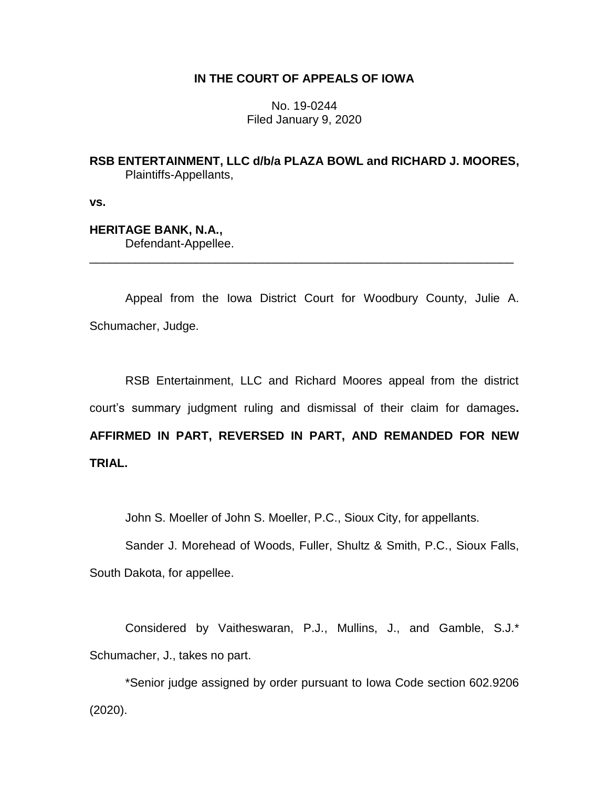## **IN THE COURT OF APPEALS OF IOWA**

No. 19-0244 Filed January 9, 2020

**RSB ENTERTAINMENT, LLC d/b/a PLAZA BOWL and RICHARD J. MOORES,** Plaintiffs-Appellants,

**vs.**

# **HERITAGE BANK, N.A.,**

Defendant-Appellee.

Appeal from the Iowa District Court for Woodbury County, Julie A. Schumacher, Judge.

\_\_\_\_\_\_\_\_\_\_\_\_\_\_\_\_\_\_\_\_\_\_\_\_\_\_\_\_\_\_\_\_\_\_\_\_\_\_\_\_\_\_\_\_\_\_\_\_\_\_\_\_\_\_\_\_\_\_\_\_\_\_\_\_

RSB Entertainment, LLC and Richard Moores appeal from the district court's summary judgment ruling and dismissal of their claim for damages**. AFFIRMED IN PART, REVERSED IN PART, AND REMANDED FOR NEW TRIAL.**

John S. Moeller of John S. Moeller, P.C., Sioux City, for appellants.

Sander J. Morehead of Woods, Fuller, Shultz & Smith, P.C., Sioux Falls, South Dakota, for appellee.

Considered by Vaitheswaran, P.J., Mullins, J., and Gamble, S.J.\* Schumacher, J., takes no part.

\*Senior judge assigned by order pursuant to Iowa Code section 602.9206 (2020).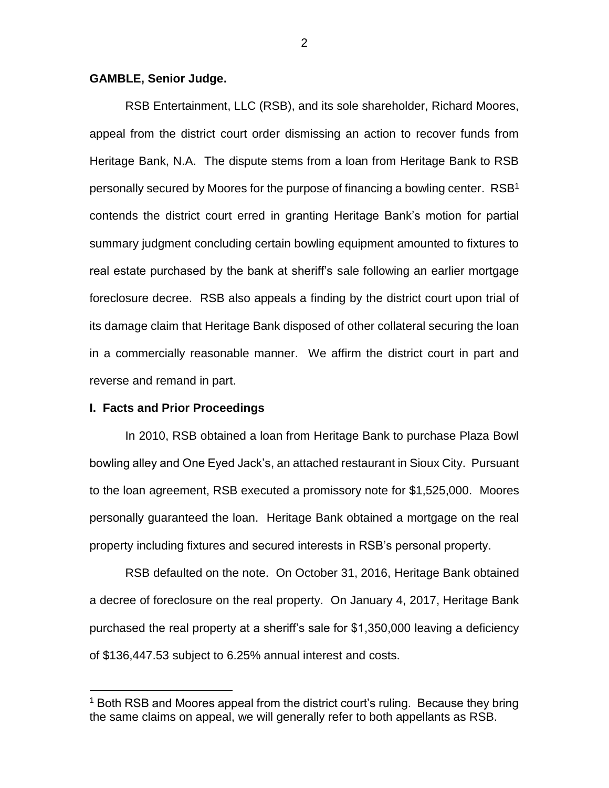## **GAMBLE, Senior Judge.**

RSB Entertainment, LLC (RSB), and its sole shareholder, Richard Moores, appeal from the district court order dismissing an action to recover funds from Heritage Bank, N.A. The dispute stems from a loan from Heritage Bank to RSB personally secured by Moores for the purpose of financing a bowling center. RSB<sup>1</sup> contends the district court erred in granting Heritage Bank's motion for partial summary judgment concluding certain bowling equipment amounted to fixtures to real estate purchased by the bank at sheriff's sale following an earlier mortgage foreclosure decree. RSB also appeals a finding by the district court upon trial of its damage claim that Heritage Bank disposed of other collateral securing the loan in a commercially reasonable manner. We affirm the district court in part and reverse and remand in part.

## **I. Facts and Prior Proceedings**

 $\overline{a}$ 

In 2010, RSB obtained a loan from Heritage Bank to purchase Plaza Bowl bowling alley and One Eyed Jack's, an attached restaurant in Sioux City. Pursuant to the loan agreement, RSB executed a promissory note for \$1,525,000. Moores personally guaranteed the loan. Heritage Bank obtained a mortgage on the real property including fixtures and secured interests in RSB's personal property.

RSB defaulted on the note. On October 31, 2016, Heritage Bank obtained a decree of foreclosure on the real property. On January 4, 2017, Heritage Bank purchased the real property at a sheriff's sale for \$1,350,000 leaving a deficiency of \$136,447.53 subject to 6.25% annual interest and costs.

<sup>&</sup>lt;sup>1</sup> Both RSB and Moores appeal from the district court's ruling. Because they bring the same claims on appeal, we will generally refer to both appellants as RSB.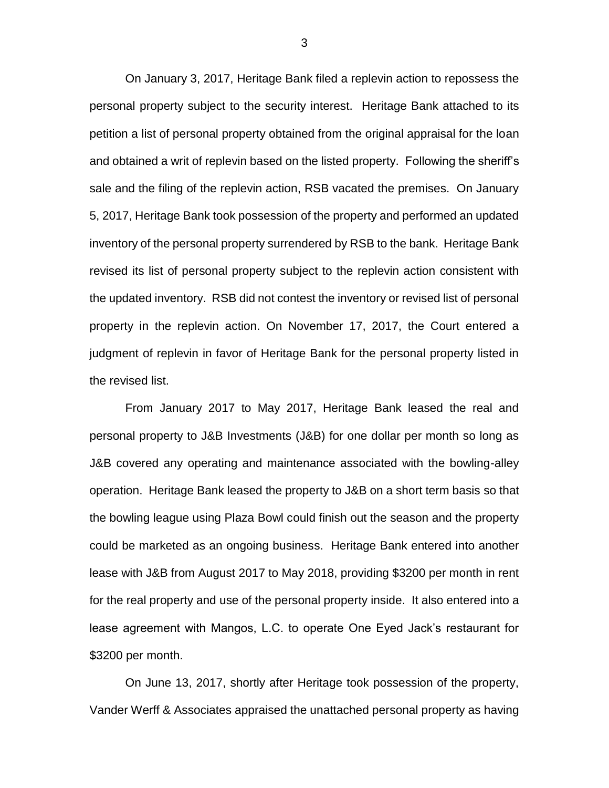On January 3, 2017, Heritage Bank filed a replevin action to repossess the personal property subject to the security interest. Heritage Bank attached to its petition a list of personal property obtained from the original appraisal for the loan and obtained a writ of replevin based on the listed property. Following the sheriff's sale and the filing of the replevin action, RSB vacated the premises. On January 5, 2017, Heritage Bank took possession of the property and performed an updated inventory of the personal property surrendered by RSB to the bank. Heritage Bank revised its list of personal property subject to the replevin action consistent with the updated inventory. RSB did not contest the inventory or revised list of personal property in the replevin action. On November 17, 2017, the Court entered a judgment of replevin in favor of Heritage Bank for the personal property listed in the revised list.

From January 2017 to May 2017, Heritage Bank leased the real and personal property to J&B Investments (J&B) for one dollar per month so long as J&B covered any operating and maintenance associated with the bowling-alley operation. Heritage Bank leased the property to J&B on a short term basis so that the bowling league using Plaza Bowl could finish out the season and the property could be marketed as an ongoing business. Heritage Bank entered into another lease with J&B from August 2017 to May 2018, providing \$3200 per month in rent for the real property and use of the personal property inside. It also entered into a lease agreement with Mangos, L.C. to operate One Eyed Jack's restaurant for \$3200 per month.

On June 13, 2017, shortly after Heritage took possession of the property, Vander Werff & Associates appraised the unattached personal property as having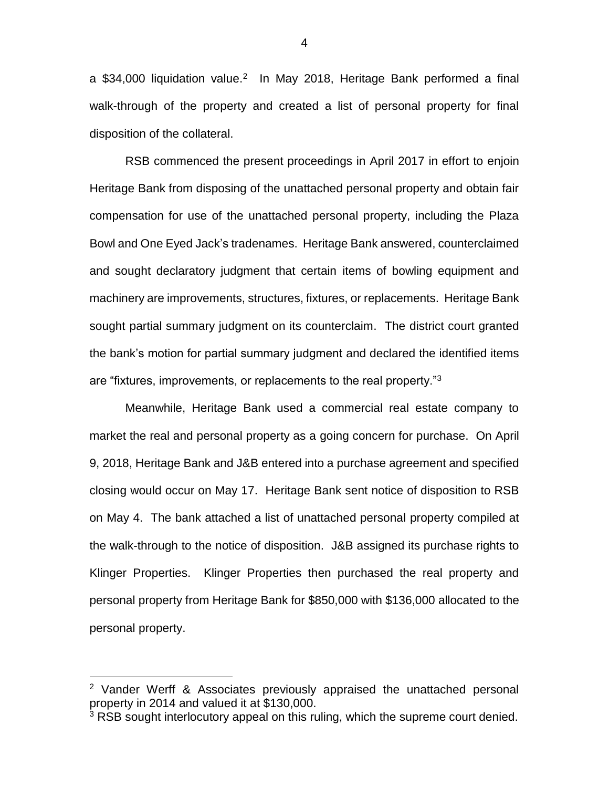a \$34,000 liquidation value.<sup>2</sup> In May 2018, Heritage Bank performed a final walk-through of the property and created a list of personal property for final disposition of the collateral.

RSB commenced the present proceedings in April 2017 in effort to enjoin Heritage Bank from disposing of the unattached personal property and obtain fair compensation for use of the unattached personal property, including the Plaza Bowl and One Eyed Jack's tradenames. Heritage Bank answered, counterclaimed and sought declaratory judgment that certain items of bowling equipment and machinery are improvements, structures, fixtures, or replacements. Heritage Bank sought partial summary judgment on its counterclaim. The district court granted the bank's motion for partial summary judgment and declared the identified items are "fixtures, improvements, or replacements to the real property."<sup>3</sup>

Meanwhile, Heritage Bank used a commercial real estate company to market the real and personal property as a going concern for purchase. On April 9, 2018, Heritage Bank and J&B entered into a purchase agreement and specified closing would occur on May 17. Heritage Bank sent notice of disposition to RSB on May 4. The bank attached a list of unattached personal property compiled at the walk-through to the notice of disposition. J&B assigned its purchase rights to Klinger Properties. Klinger Properties then purchased the real property and personal property from Heritage Bank for \$850,000 with \$136,000 allocated to the personal property.

 $\overline{a}$ 

4

<sup>2</sup> Vander Werff & Associates previously appraised the unattached personal property in 2014 and valued it at \$130,000.

<sup>&</sup>lt;sup>3</sup> RSB sought interlocutory appeal on this ruling, which the supreme court denied.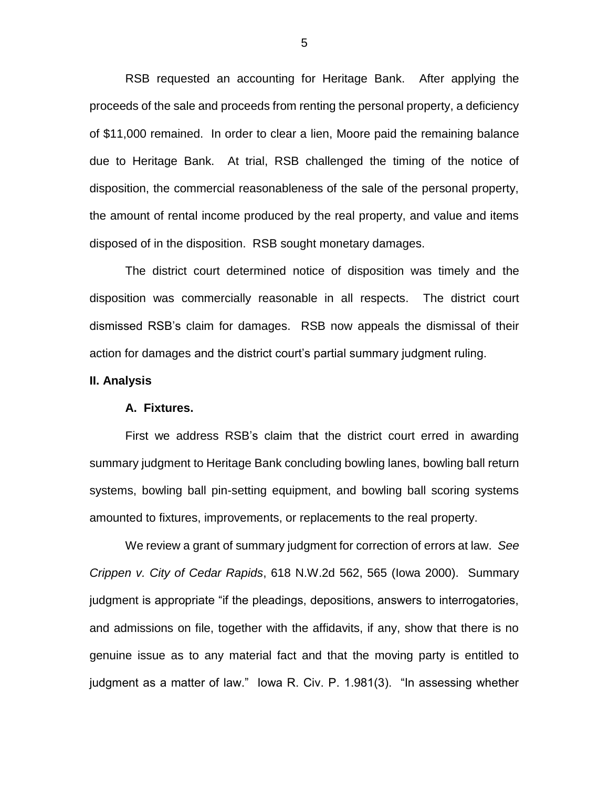RSB requested an accounting for Heritage Bank. After applying the proceeds of the sale and proceeds from renting the personal property, a deficiency of \$11,000 remained. In order to clear a lien, Moore paid the remaining balance due to Heritage Bank. At trial, RSB challenged the timing of the notice of disposition, the commercial reasonableness of the sale of the personal property, the amount of rental income produced by the real property, and value and items disposed of in the disposition. RSB sought monetary damages.

The district court determined notice of disposition was timely and the disposition was commercially reasonable in all respects. The district court dismissed RSB's claim for damages. RSB now appeals the dismissal of their action for damages and the district court's partial summary judgment ruling.

#### **II. Analysis**

#### **A. Fixtures.**

First we address RSB's claim that the district court erred in awarding summary judgment to Heritage Bank concluding bowling lanes, bowling ball return systems, bowling ball pin-setting equipment, and bowling ball scoring systems amounted to fixtures, improvements, or replacements to the real property.

We review a grant of summary judgment for correction of errors at law. *See Crippen v. City of Cedar Rapids*, 618 N.W.2d 562, 565 (Iowa 2000). Summary judgment is appropriate "if the pleadings, depositions, answers to interrogatories, and admissions on file, together with the affidavits, if any, show that there is no genuine issue as to any material fact and that the moving party is entitled to judgment as a matter of law." Iowa R. Civ. P. 1.981(3). "In assessing whether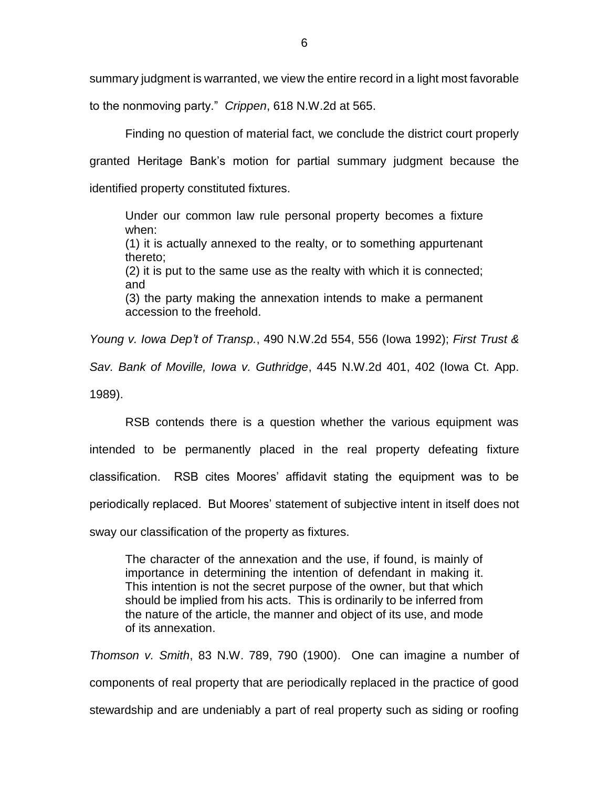summary judgment is warranted, we view the entire record in a light most favorable to the nonmoving party." *Crippen*, 618 N.W.2d at 565.

Finding no question of material fact, we conclude the district court properly granted Heritage Bank's motion for partial summary judgment because the identified property constituted fixtures.

Under our common law rule personal property becomes a fixture when: (1) it is actually annexed to the realty, or to something appurtenant thereto; (2) it is put to the same use as the realty with which it is connected; and (3) the party making the annexation intends to make a permanent accession to the freehold.

*Young v. Iowa Dep't of Transp.*, 490 N.W.2d 554, 556 (Iowa 1992); *First Trust & Sav. Bank of Moville, Iowa v. Guthridge*, 445 N.W.2d 401, 402 (Iowa Ct. App. 1989).

RSB contends there is a question whether the various equipment was intended to be permanently placed in the real property defeating fixture classification. RSB cites Moores' affidavit stating the equipment was to be periodically replaced. But Moores' statement of subjective intent in itself does not sway our classification of the property as fixtures.

The character of the annexation and the use, if found, is mainly of importance in determining the intention of defendant in making it. This intention is not the secret purpose of the owner, but that which should be implied from his acts. This is ordinarily to be inferred from the nature of the article, the manner and object of its use, and mode of its annexation.

*Thomson v. Smith*, 83 N.W. 789, 790 (1900). One can imagine a number of components of real property that are periodically replaced in the practice of good stewardship and are undeniably a part of real property such as siding or roofing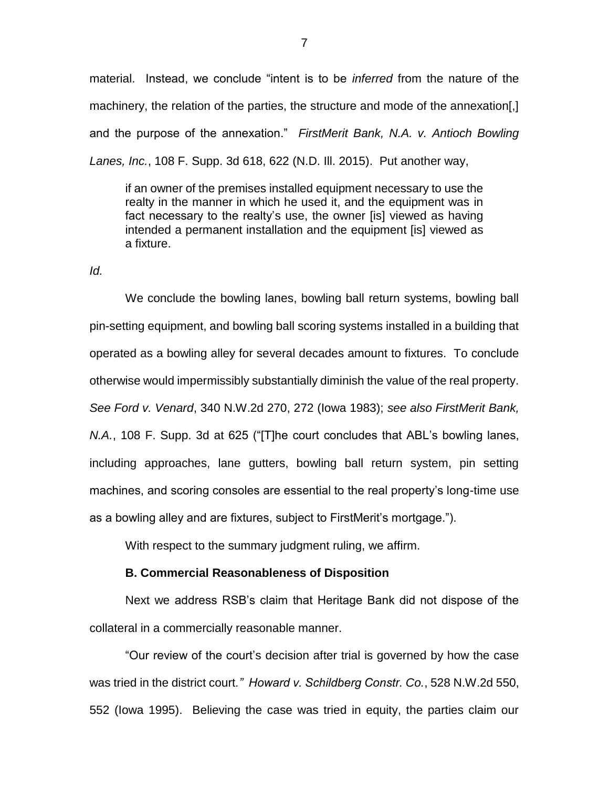material. Instead, we conclude "intent is to be *inferred* from the nature of the machinery, the relation of the parties, the structure and mode of the annexation[,] and the purpose of the annexation." *FirstMerit Bank, N.A. v. Antioch Bowling Lanes, Inc.*, 108 F. Supp. 3d 618, 622 (N.D. Ill. 2015). Put another way,

if an owner of the premises installed equipment necessary to use the realty in the manner in which he used it, and the equipment was in fact necessary to the realty's use, the owner [is] viewed as having intended a permanent installation and the equipment [is] viewed as a fixture.

*Id.*

We conclude the bowling lanes, bowling ball return systems, bowling ball pin-setting equipment, and bowling ball scoring systems installed in a building that operated as a bowling alley for several decades amount to fixtures. To conclude otherwise would impermissibly substantially diminish the value of the real property. *See Ford v. Venard*, 340 N.W.2d 270, 272 (Iowa 1983); *see also FirstMerit Bank, N.A.*, 108 F. Supp. 3d at 625 ("[T]he court concludes that ABL's bowling lanes, including approaches, lane gutters, bowling ball return system, pin setting machines, and scoring consoles are essential to the real property's long-time use as a bowling alley and are fixtures, subject to FirstMerit's mortgage.").

With respect to the summary judgment ruling, we affirm.

## **B. Commercial Reasonableness of Disposition**

Next we address RSB's claim that Heritage Bank did not dispose of the collateral in a commercially reasonable manner.

"Our review of the court's decision after trial is governed by how the case was tried in the district court*." Howard v. Schildberg Constr. Co.*, 528 N.W.2d 550, 552 (Iowa 1995). Believing the case was tried in equity, the parties claim our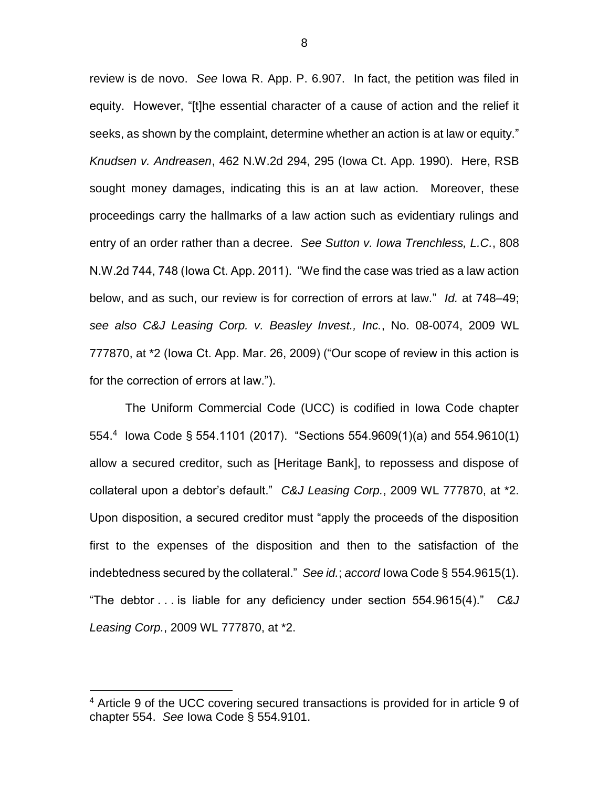review is de novo. *See* Iowa R. App. P. 6.907. In fact, the petition was filed in equity. However, "[t]he essential character of a cause of action and the relief it seeks, as shown by the complaint, determine whether an action is at law or equity." *Knudsen v. Andreasen*, 462 N.W.2d 294, 295 (Iowa Ct. App. 1990). Here, RSB sought money damages, indicating this is an at law action. Moreover, these proceedings carry the hallmarks of a law action such as evidentiary rulings and entry of an order rather than a decree. *See Sutton v. Iowa Trenchless, L.C.*, 808 N.W.2d 744, 748 (Iowa Ct. App. 2011). "We find the case was tried as a law action below, and as such, our review is for correction of errors at law." *Id.* at 748–49; *see also C&J Leasing Corp. v. Beasley Invest., Inc.*, No. 08-0074, 2009 WL 777870, at \*2 (Iowa Ct. App. Mar. 26, 2009) ("Our scope of review in this action is for the correction of errors at law.").

The Uniform Commercial Code (UCC) is codified in Iowa Code chapter 554.<sup>4</sup> Iowa Code § 554.1101 (2017). "Sections 554.9609(1)(a) and 554.9610(1) allow a secured creditor, such as [Heritage Bank], to repossess and dispose of collateral upon a debtor's default." *C&J Leasing Corp.*, 2009 WL 777870, at \*2. Upon disposition, a secured creditor must "apply the proceeds of the disposition first to the expenses of the disposition and then to the satisfaction of the indebtedness secured by the collateral." *See id.*; *accord* Iowa Code § 554.9615(1). "The debtor . . . is liable for any deficiency under section 554.9615(4)." *C&J Leasing Corp.*, 2009 WL 777870, at \*2.

 $\overline{a}$ 

8

<sup>4</sup> Article 9 of the UCC covering secured transactions is provided for in article 9 of chapter 554. *See* Iowa Code § 554.9101.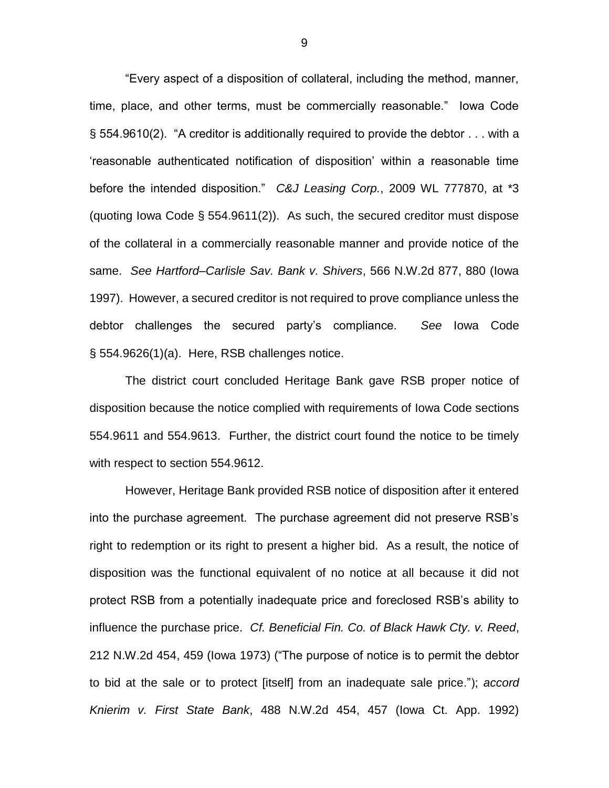"Every aspect of a disposition of collateral, including the method, manner, time, place, and other terms, must be commercially reasonable." Iowa Code § 554.9610(2). "A creditor is additionally required to provide the debtor . . . with a 'reasonable authenticated notification of disposition' within a reasonable time before the intended disposition." *C&J Leasing Corp.*, 2009 WL 777870, at \*3 (quoting Iowa Code § 554.9611(2)). As such, the secured creditor must dispose of the collateral in a commercially reasonable manner and provide notice of the same. *See Hartford–Carlisle Sav. Bank v. Shivers*, 566 N.W.2d 877, 880 (Iowa 1997). However, a secured creditor is not required to prove compliance unless the debtor challenges the secured party's compliance. *See* Iowa Code § 554.9626(1)(a). Here, RSB challenges notice.

The district court concluded Heritage Bank gave RSB proper notice of disposition because the notice complied with requirements of Iowa Code sections 554.9611 and 554.9613. Further, the district court found the notice to be timely with respect to section 554.9612.

However, Heritage Bank provided RSB notice of disposition after it entered into the purchase agreement. The purchase agreement did not preserve RSB's right to redemption or its right to present a higher bid. As a result, the notice of disposition was the functional equivalent of no notice at all because it did not protect RSB from a potentially inadequate price and foreclosed RSB's ability to influence the purchase price. *Cf. Beneficial Fin. Co. of Black Hawk Cty. v. Reed*, 212 N.W.2d 454, 459 (Iowa 1973) ("The purpose of notice is to permit the debtor to bid at the sale or to protect [itself] from an inadequate sale price."); *accord Knierim v. First State Bank*, 488 N.W.2d 454, 457 (Iowa Ct. App. 1992)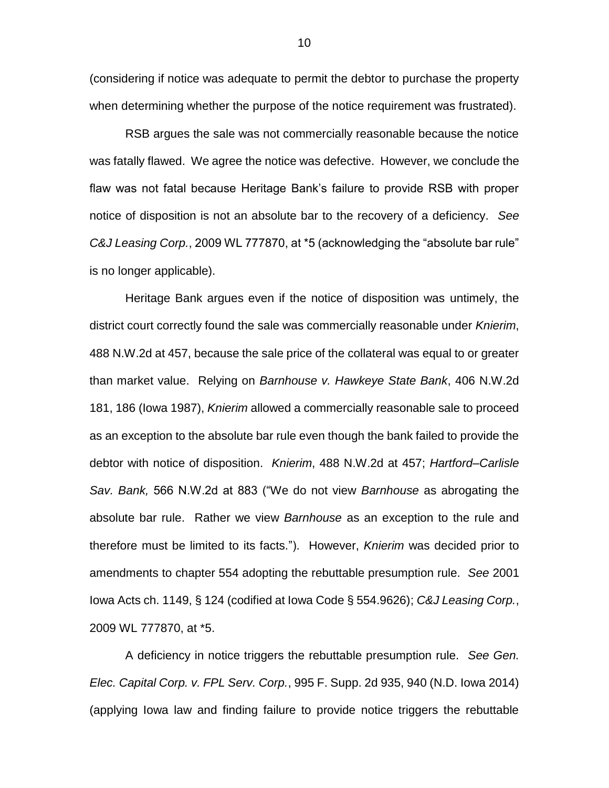(considering if notice was adequate to permit the debtor to purchase the property when determining whether the purpose of the notice requirement was frustrated).

RSB argues the sale was not commercially reasonable because the notice was fatally flawed. We agree the notice was defective. However, we conclude the flaw was not fatal because Heritage Bank's failure to provide RSB with proper notice of disposition is not an absolute bar to the recovery of a deficiency. *See C&J Leasing Corp.*, 2009 WL 777870, at \*5 (acknowledging the "absolute bar rule" is no longer applicable).

Heritage Bank argues even if the notice of disposition was untimely, the district court correctly found the sale was commercially reasonable under *Knierim*, 488 N.W.2d at 457, because the sale price of the collateral was equal to or greater than market value. Relying on *Barnhouse v. Hawkeye State Bank*, 406 N.W.2d 181, 186 (Iowa 1987), *Knierim* allowed a commercially reasonable sale to proceed as an exception to the absolute bar rule even though the bank failed to provide the debtor with notice of disposition. *Knierim*, 488 N.W.2d at 457; *Hartford–Carlisle Sav. Bank,* 566 N.W.2d at 883 ("We do not view *Barnhouse* as abrogating the absolute bar rule. Rather we view *Barnhouse* as an exception to the rule and therefore must be limited to its facts."). However, *Knierim* was decided prior to amendments to chapter 554 adopting the rebuttable presumption rule. *See* 2001 Iowa Acts ch. 1149, § 124 (codified at Iowa Code § 554.9626); *C&J Leasing Corp.*, 2009 WL 777870, at \*5.

A deficiency in notice triggers the rebuttable presumption rule. *See Gen. Elec. Capital Corp. v. FPL Serv. Corp.*, 995 F. Supp. 2d 935, 940 (N.D. Iowa 2014) (applying Iowa law and finding failure to provide notice triggers the rebuttable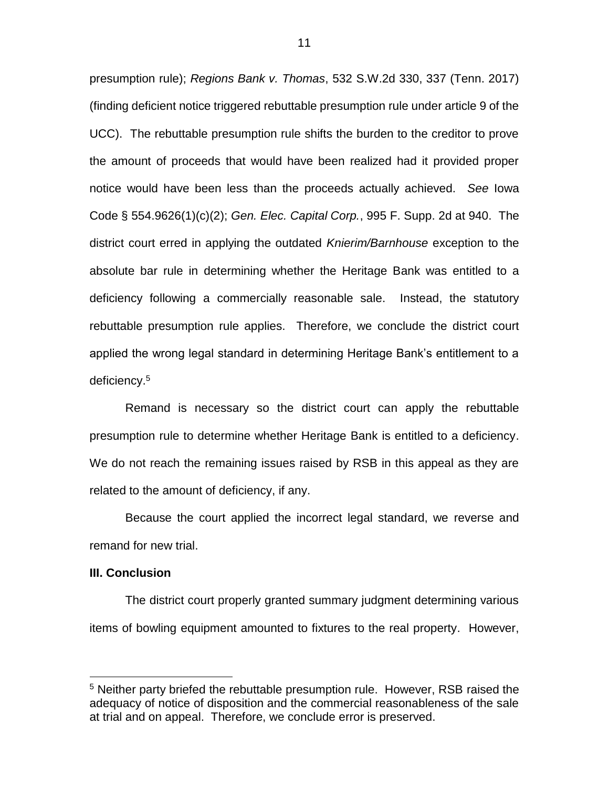presumption rule); *Regions Bank v. Thomas*, 532 S.W.2d 330, 337 (Tenn. 2017) (finding deficient notice triggered rebuttable presumption rule under article 9 of the UCC). The rebuttable presumption rule shifts the burden to the creditor to prove the amount of proceeds that would have been realized had it provided proper notice would have been less than the proceeds actually achieved. *See* Iowa Code § 554.9626(1)(c)(2); *Gen. Elec. Capital Corp.*, 995 F. Supp. 2d at 940. The district court erred in applying the outdated *Knierim/Barnhouse* exception to the absolute bar rule in determining whether the Heritage Bank was entitled to a deficiency following a commercially reasonable sale. Instead, the statutory rebuttable presumption rule applies. Therefore, we conclude the district court applied the wrong legal standard in determining Heritage Bank's entitlement to a deficiency.<sup>5</sup>

Remand is necessary so the district court can apply the rebuttable presumption rule to determine whether Heritage Bank is entitled to a deficiency. We do not reach the remaining issues raised by RSB in this appeal as they are related to the amount of deficiency, if any.

Because the court applied the incorrect legal standard, we reverse and remand for new trial.

### **III. Conclusion**

 $\overline{a}$ 

The district court properly granted summary judgment determining various items of bowling equipment amounted to fixtures to the real property. However,

<sup>&</sup>lt;sup>5</sup> Neither party briefed the rebuttable presumption rule. However, RSB raised the adequacy of notice of disposition and the commercial reasonableness of the sale at trial and on appeal. Therefore, we conclude error is preserved.